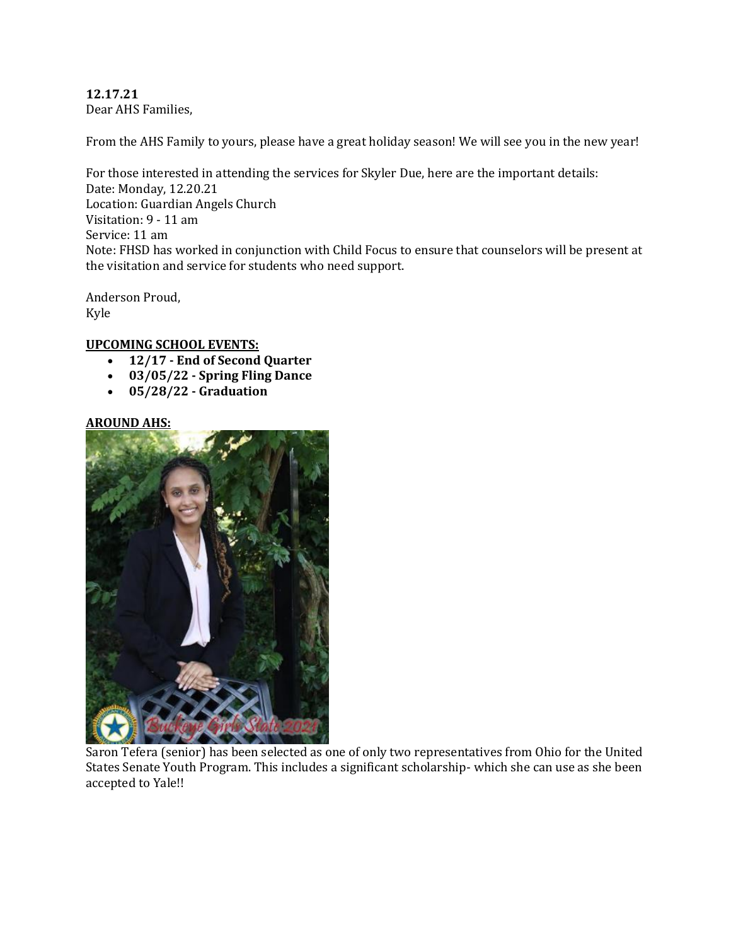### **12.17.21** Dear AHS Families,

From the AHS Family to yours, please have a great holiday season! We will see you in the new year!

For those interested in attending the services for Skyler Due, here are the important details: Date: Monday, 12.20.21 Location: Guardian Angels Church Visitation: 9 - 11 am Service: 11 am Note: FHSD has worked in conjunction with Child Focus to ensure that counselors will be present at the visitation and service for students who need support.

Anderson Proud, Kyle

## **UPCOMING SCHOOL EVENTS:**

- **12/17 - End of Second Quarter**
- **03/05/22 - Spring Fling Dance**
- **05/28/22 - Graduation**

## **AROUND AHS:**



Saron Tefera (senior) has been selected as one of only two representatives from Ohio for the United States Senate Youth Program. This includes a significant scholarship- which she can use as she been accepted to Yale!!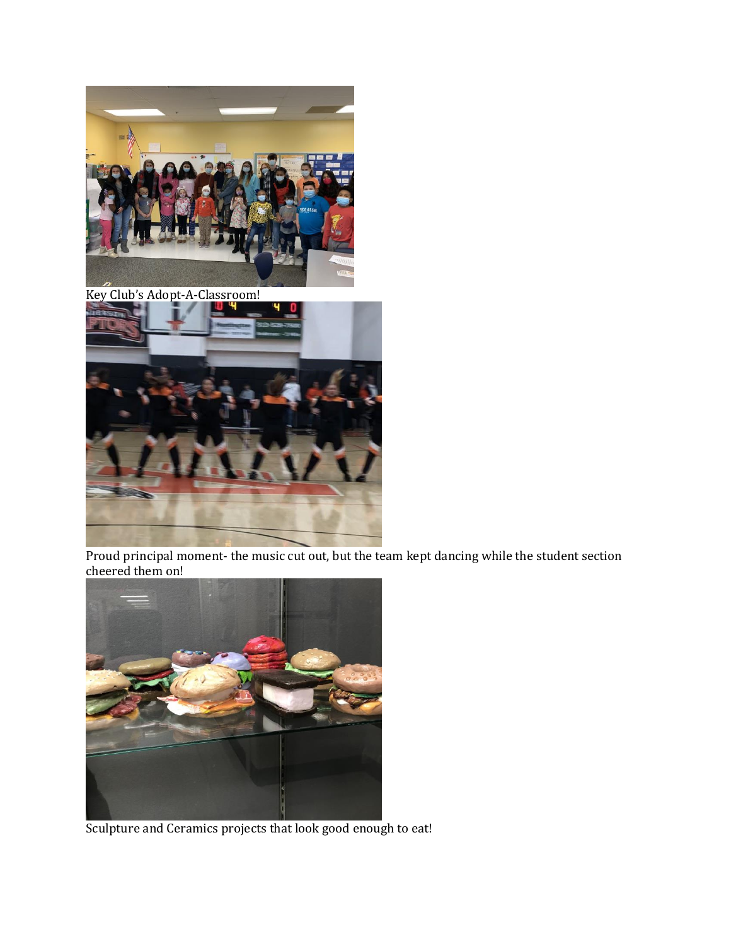

Key Club's Adopt-A-Classroom!



Proud principal moment- the music cut out, but the team kept dancing while the student section cheered them on!



Sculpture and Ceramics projects that look good enough to eat!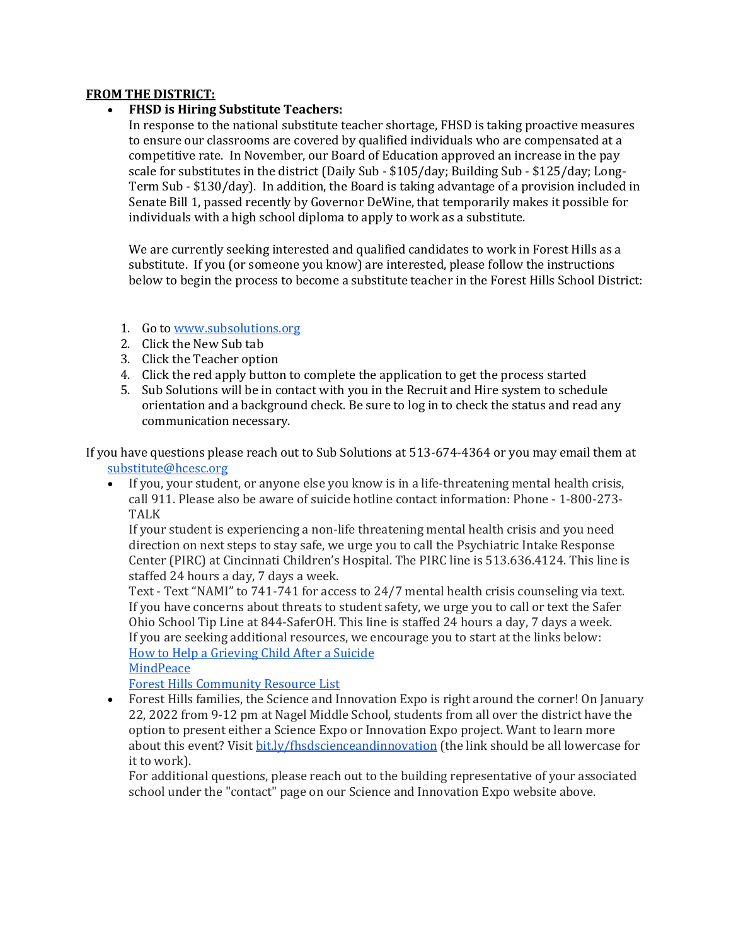#### **FROM THE DISTRICT:**

## **FHSD is Hiring Substitute Teachers:**

In response to the national substitute teacher shortage, FHSD is taking proactive measures to ensure our classrooms are covered by qualified individuals who are compensated at a competitive rate. In November, our Board of Education approved an increase in the pay scale for substitutes in the district (Daily Sub - \$105/day; Building Sub - \$125/day; Long-Term Sub - \$130/day). In addition, the Board is taking advantage of a provision included in Senate Bill 1, passed recently by Governor DeWine, that temporarily makes it possible for individuals with a high school diploma to apply to work as a substitute.

We are currently seeking interested and qualified candidates to work in Forest Hills as a substitute. If you (or someone you know) are interested, please follow the instructions below to begin the process to become a substitute teacher in the Forest Hills School District:

# 1. Go to [www.subsolutions.org](http://www.subsolutions.org/)

- 2. Click the New Sub tab
- 3. Click the Teacher option
- 4. Click the red apply button to complete the application to get the process started
- 5. Sub Solutions will be in contact with you in the Recruit and Hire system to schedule orientation and a background check. Be sure to log in to check the status and read any communication necessary.

If you have questions please reach out to Sub Solutions at 513-674-4364 or you may email them at substitute@hcesc.org

 If you, your student, or anyone else you know is in a life-threatening mental health crisis, call 911. Please also be aware of suicide hotline contact information: Phone - 1-800-273- TALK

If your student is experiencing a non-life threatening mental health crisis and you need direction on next steps to stay safe, we urge you to call the Psychiatric Intake Response Center (PIRC) at Cincinnati Children's Hospital. The PIRC line is 513.636.4124. This line is staffed 24 hours a day, 7 days a week.

Text - Text "NAMI" to 741-741 for access to 24/7 mental health crisis counseling via text. If you have concerns about threats to student safety, we urge you to call or text the Safer Ohio School Tip Line at 844-SaferOH. This line is staffed 24 hours a day, 7 days a week. If you are seeking additional resources, we encourage you to start at the links below: [How to Help a Grieving Child After a Suicide](https://drive.google.com/file/d/1MKhJGCKJIrWvamif-4XvI-QSzCy9oqk-/view?usp=sharing) **[MindPeace](http://mindpeacecincinnati.com/)** 

[Forest Hills Community Resource List](https://docs.google.com/document/d/10Jd3vR9F1ZIUKEDHyzVWn-RWjtlEO6FmdXqKKd4aXF0)

 Forest Hills families, the Science and Innovation Expo is right around the corner! On January 22, 2022 from 9-12 pm at Nagel Middle School, students from all over the district have the option to present either a Science Expo or Innovation Expo project. Want to learn more about this event? Visit [bit.ly/fhsdscienceandinnovation](http://bit.ly/fhsdscienceandinnovation) (the link should be all lowercase for it to work).

For additional questions, please reach out to the building representative of your associated school under the "contact" page on our Science and Innovation Expo website above.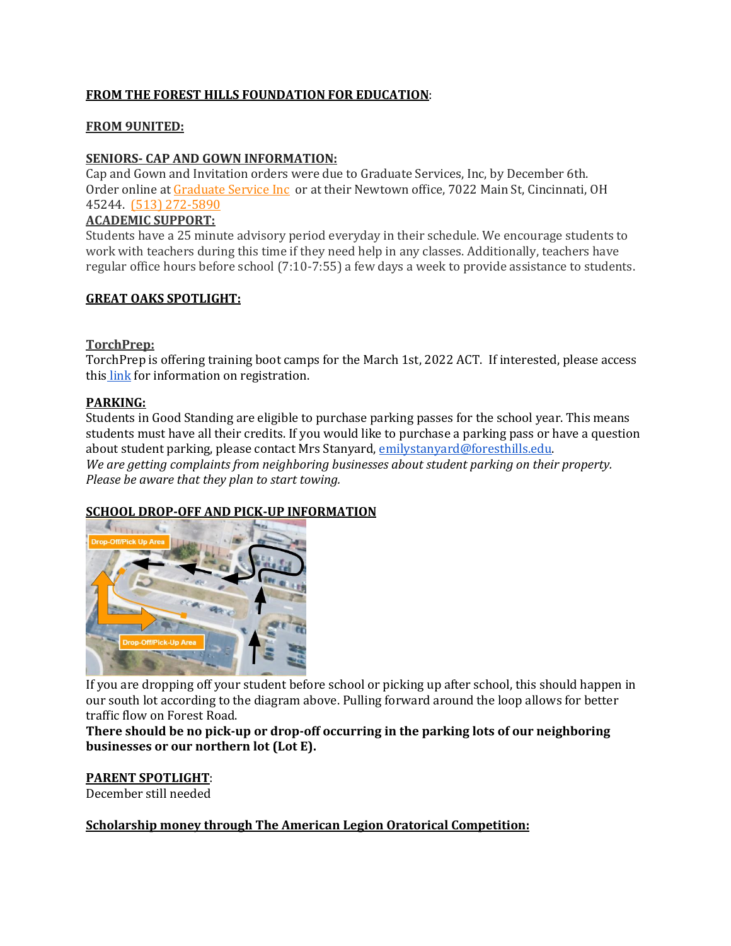# **FROM THE FOREST HILLS FOUNDATION FOR EDUCATION**:

### **FROM 9UNITED:**

## **SENIORS- CAP AND GOWN INFORMATION:**

Cap and Gown and Invitation orders were due to Graduate Services, Inc, by December 6th. Order online a[t Graduate Service Inc](https://highschool.herffjones.com/secom/home) or at their Newtown office, 7022 Main St, Cincinnati, OH 45244. [\(513\) 272-5890](https://www.google.com/search?q=graduate+service+inc&rlz=1C1GCEV_en&oq=&aqs=chrome.0.69i59i450l7.65298j0j7&sourceid=chrome&ie=UTF-8)

### **ACADEMIC SUPPORT:**

Students have a 25 minute advisory period everyday in their schedule. We encourage students to work with teachers during this time if they need help in any classes. Additionally, teachers have regular office hours before school (7:10-7:55) a few days a week to provide assistance to students.

### **GREAT OAKS SPOTLIGHT:**

#### **TorchPrep:**

TorchPrep is offering training boot camps for the March 1st, 2022 ACT. If interested, please access this [link](https://www.torchprep.com/confirm/?course_id=20141) for information on registration.

### **PARKING:**

Students in Good Standing are eligible to purchase parking passes for the school year. This means students must have all their credits. If you would like to purchase a parking pass or have a question about student parking, please contact Mrs Stanyard[, emilystanyard@foresthills.edu.](mailto:emilystanyard@foresthills.edu) *We are getting complaints from neighboring businesses about student parking on their property. Please be aware that they plan to start towing.*

## **SCHOOL DROP-OFF AND PICK-UP INFORMATION**



If you are dropping off your student before school or picking up after school, this should happen in our south lot according to the diagram above. Pulling forward around the loop allows for better traffic flow on Forest Road.

**There should be no pick-up or drop-off occurring in the parking lots of our neighboring businesses or our northern lot (Lot E).**

## **PARENT SPOTLIGHT**:

December still needed

**Scholarship money through The American Legion Oratorical Competition:**